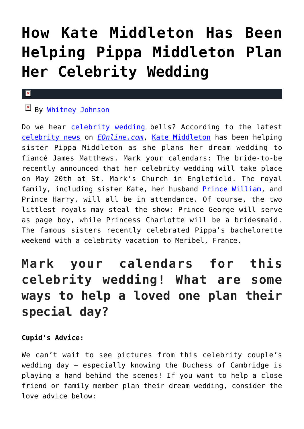# **[How Kate Middleton Has Been](https://cupidspulse.com/117757/how-kate-middleton-has-been-helping-pippa-middleton-plan-celebrity-wedding/) [Helping Pippa Middleton Plan](https://cupidspulse.com/117757/how-kate-middleton-has-been-helping-pippa-middleton-plan-celebrity-wedding/) [Her Celebrity Wedding](https://cupidspulse.com/117757/how-kate-middleton-has-been-helping-pippa-middleton-plan-celebrity-wedding/)**

#### $\mathbf{x}$

## By [Whitney Johnson](http://cupidspulse.com/104601/whitney-johnson/)

Do we hear [celebrity wedding](http://cupidspulse.com/celebrity-news/celebrity-weddings/) bells? According to the latest [celebrity news](http://cupidspulse.com/celebrity-news/) on *[EOnline.com](http://www.eonline.com/news/842675/how-kate-middleton-has-been-helping-pippa-middleton-plan-her-dream-wedding)*, [Kate Middleton](http://cupidspulse.com/89071/kate-middleton/) has been helping sister Pippa Middleton as she plans her dream wedding to fiancé James Matthews. Mark your calendars: The bride-to-be recently announced that her celebrity wedding will take place on May 20th at St. Mark's Church in Englefield. The royal family, including sister Kate, her husband [Prince William,](http://cupidspulse.com/89063/prince-william/) and Prince Harry, will all be in attendance. Of course, the two littlest royals may steal the show: Prince George will serve as page boy, while Princess Charlotte will be a bridesmaid. The famous sisters recently celebrated Pippa's bachelorette weekend with a celebrity vacation to Meribel, France.

## **Mark your calendars for this celebrity wedding! What are some ways to help a loved one plan their special day?**

### **Cupid's Advice:**

We can't wait to see pictures from this celebrity couple's wedding day — especially knowing the Duchess of Cambridge is playing a hand behind the scenes! If you want to help a close friend or family member plan their dream wedding, consider the love advice below: